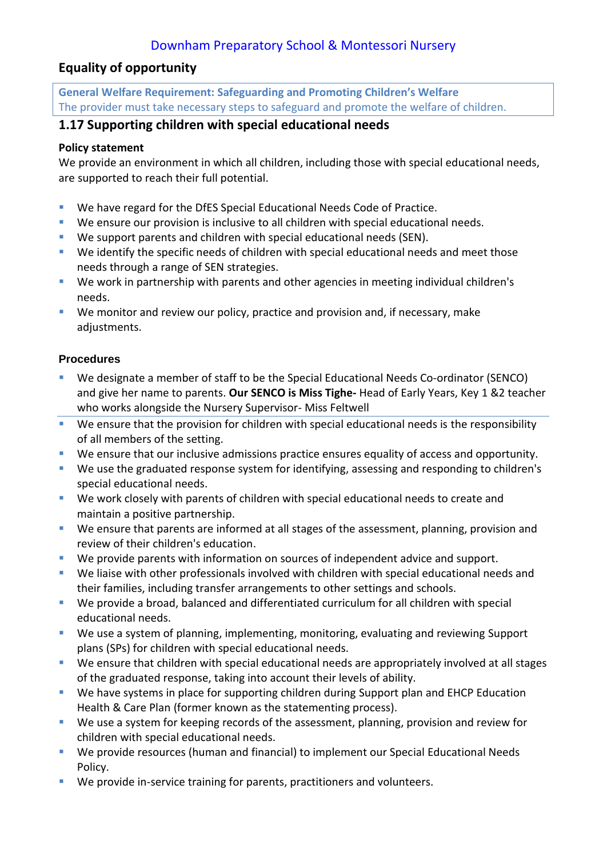# Downham Preparatory School & Montessori Nursery

### **Equality of opportunity**

**General Welfare Requirement: Safeguarding and Promoting Children's Welfare** The provider must take necessary steps to safeguard and promote the welfare of children.

## **1.17 Supporting children with special educational needs**

#### **Policy statement**

We provide an environment in which all children, including those with special educational needs, are supported to reach their full potential.

- We have regard for the DfES Special Educational Needs Code of Practice.
- We ensure our provision is inclusive to all children with special educational needs.
- We support parents and children with special educational needs (SEN).
- We identify the specific needs of children with special educational needs and meet those needs through a range of SEN strategies.
- We work in partnership with parents and other agencies in meeting individual children's needs.
- We monitor and review our policy, practice and provision and, if necessary, make adjustments.

#### **Procedures**

- We designate a member of staff to be the Special Educational Needs Co-ordinator (SENCO) and give her name to parents. **Our SENCO is Miss Tighe-** Head of Early Years, Key 1 &2 teacher who works alongside the Nursery Supervisor- Miss Feltwell
- We ensure that the provision for children with special educational needs is the responsibility of all members of the setting.
- We ensure that our inclusive admissions practice ensures equality of access and opportunity.
- We use the graduated response system for identifying, assessing and responding to children's special educational needs.
- We work closely with parents of children with special educational needs to create and maintain a positive partnership.
- We ensure that parents are informed at all stages of the assessment, planning, provision and review of their children's education.
- We provide parents with information on sources of independent advice and support.
- We liaise with other professionals involved with children with special educational needs and their families, including transfer arrangements to other settings and schools.
- We provide a broad, balanced and differentiated curriculum for all children with special educational needs.
- We use a system of planning, implementing, monitoring, evaluating and reviewing Support plans (SPs) for children with special educational needs.
- We ensure that children with special educational needs are appropriately involved at all stages of the graduated response, taking into account their levels of ability.
- We have systems in place for supporting children during Support plan and EHCP Education Health & Care Plan (former known as the statementing process).
- We use a system for keeping records of the assessment, planning, provision and review for children with special educational needs.
- We provide resources (human and financial) to implement our Special Educational Needs Policy.
- We provide in-service training for parents, practitioners and volunteers.